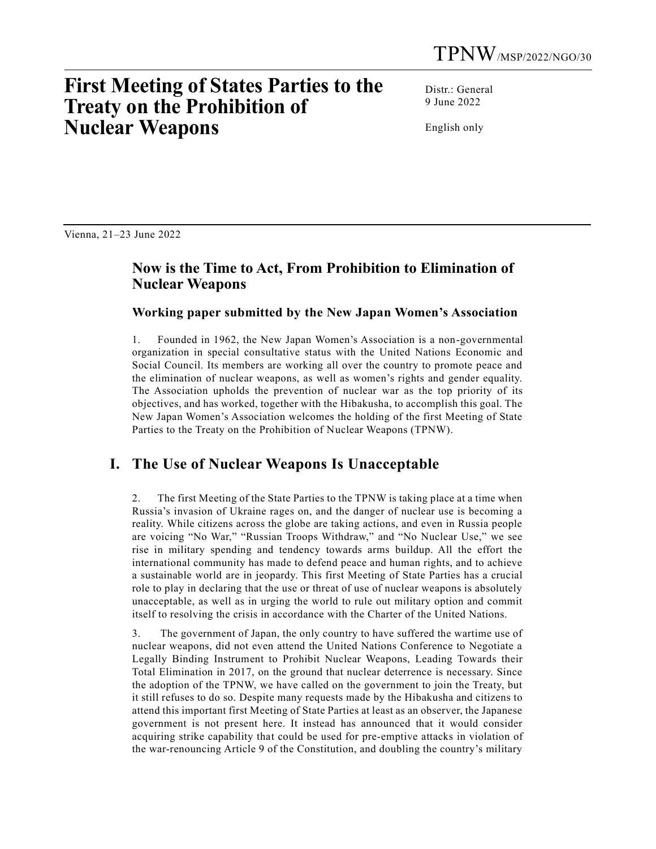# **First Meeting of States Parties to the Treaty on the Prohibition of Nuclear Weapons**

Distr.: General 9 June 2022

English only

Vienna, 21–23 June 2022

## **Now is the Time to Act, From Prohibition to Elimination of Nuclear Weapons**

**Working paper submitted by the New Japan Women's Association**

1. Founded in 1962, the New Japan Women's Association is a non-governmental organization in special consultative status with the United Nations Economic and Social Council. Its members are working all over the country to promote peace and the elimination of nuclear weapons, as well as women's rights and gender equality. The Association upholds the prevention of nuclear war as the top priority of its objectives, and has worked, together with the Hibakusha, to accomplish this goal. The New Japan Women's Association welcomes the holding of the first Meeting of State Parties to the Treaty on the Prohibition of Nuclear Weapons (TPNW).

## **I. The Use of Nuclear Weapons Is Unacceptable**

2. The first Meeting of the State Parties to the TPNW is taking place at a time when Russia's invasion of Ukraine rages on, and the danger of nuclear use is becoming a reality. While citizens across the globe are taking actions, and even in Russia people are voicing "No War," "Russian Troops Withdraw," and "No Nuclear Use," we see rise in military spending and tendency towards arms buildup. All the effort the international community has made to defend peace and human rights, and to achieve a sustainable world are in jeopardy. This first Meeting of State Parties has a crucial role to play in declaring that the use or threat of use of nuclear weapons is absolutely unacceptable, as well as in urging the world to rule out military option and commit itself to resolving the crisis in accordance with the Charter of the United Nations.

3. The government of Japan, the only country to have suffered the wartime use of nuclear weapons, did not even attend the United Nations Conference to Negotiate a Legally Binding Instrument to Prohibit Nuclear Weapons, Leading Towards their Total Elimination in 2017, on the ground that nuclear deterrence is necessary. Since the adoption of the TPNW, we have called on the government to join the Treaty, but it still refuses to do so. Despite many requests made by the Hibakusha and citizens to attend this important first Meeting of State Parties at least as an observer, the Japanese government is not present here. It instead has announced that it would consider acquiring strike capability that could be used for pre-emptive attacks in violation of the war-renouncing Article 9 of the Constitution, and doubling the country's military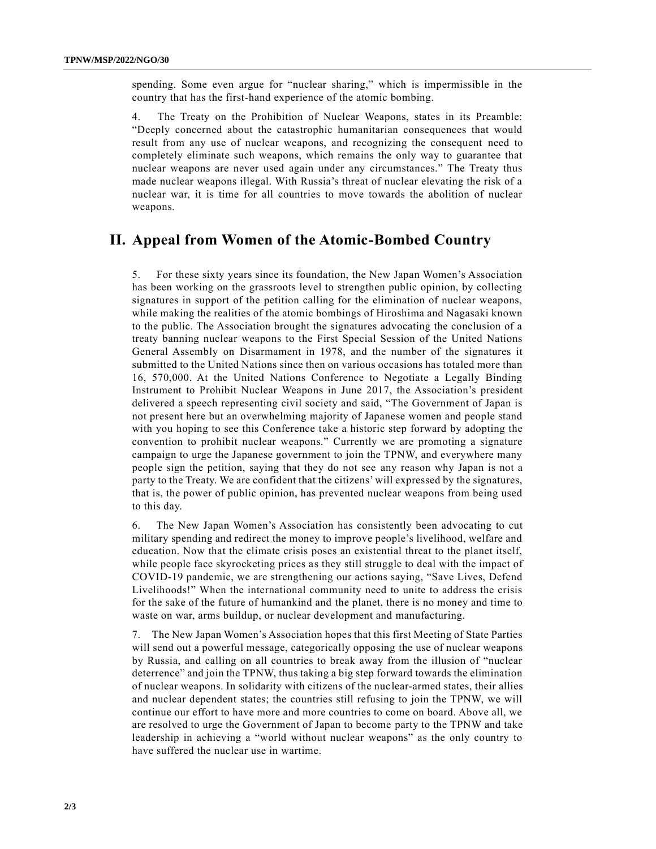spending. Some even argue for "nuclear sharing," which is impermissible in the country that has the first-hand experience of the atomic bombing.

4. The Treaty on the Prohibition of Nuclear Weapons, states in its Preamble: "Deeply concerned about the catastrophic humanitarian consequences that would result from any use of nuclear weapons, and recognizing the consequent need to completely eliminate such weapons, which remains the only way to guarantee that nuclear weapons are never used again under any circumstances." The Treaty thus made nuclear weapons illegal. With Russia's threat of nuclear elevating the risk of a nuclear war, it is time for all countries to move towards the abolition of nuclear weapons.

#### **II. Appeal from Women of the Atomic-Bombed Country**

5. For these sixty years since its foundation, the New Japan Women's Association has been working on the grassroots level to strengthen public opinion, by collecting signatures in support of the petition calling for the elimination of nuclear weapons, while making the realities of the atomic bombings of Hiroshima and Nagasaki known to the public. The Association brought the signatures advocating the conclusion of a treaty banning nuclear weapons to the First Special Session of the United Nations General Assembly on Disarmament in 1978, and the number of the signatures it submitted to the United Nations since then on various occasions has totaled more than 16, 570,000. At the United Nations Conference to Negotiate a Legally Binding Instrument to Prohibit Nuclear Weapons in June 2017, the Association's president delivered a speech representing civil society and said, "The Government of Japan is not present here but an overwhelming majority of Japanese women and people stand with you hoping to see this Conference take a historic step forward by adopting the convention to prohibit nuclear weapons." Currently we are promoting a signature campaign to urge the Japanese government to join the TPNW, and everywhere many people sign the petition, saying that they do not see any reason why Japan is not a party to the Treaty. We are confident that the citizens' will expressed by the signatures, that is, the power of public opinion, has prevented nuclear weapons from being used to this day.

6. The New Japan Women's Association has consistently been advocating to cut military spending and redirect the money to improve people's livelihood, welfare and education. Now that the climate crisis poses an existential threat to the planet itself, while people face skyrocketing prices as they still struggle to deal with the impact of COVID-19 pandemic, we are strengthening our actions saying, "Save Lives, Defend Livelihoods!" When the international community need to unite to address the crisis for the sake of the future of humankind and the planet, there is no money and time to waste on war, arms buildup, or nuclear development and manufacturing.

7. The New Japan Women's Association hopes that this first Meeting of State Parties will send out a powerful message, categorically opposing the use of nuclear weapons by Russia, and calling on all countries to break away from the illusion of "nuclear deterrence" and join the TPNW, thus taking a big step forward towards the elimination of nuclear weapons. In solidarity with citizens of the nuclear-armed states, their allies and nuclear dependent states; the countries still refusing to join the TPNW, we will continue our effort to have more and more countries to come on board. Above all, we are resolved to urge the Government of Japan to become party to the TPNW and take leadership in achieving a "world without nuclear weapons" as the only country to have suffered the nuclear use in wartime.